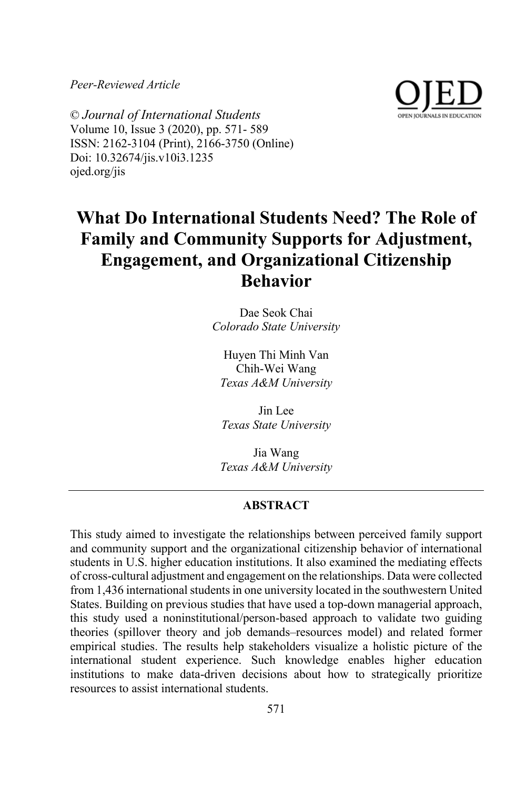*Peer-Reviewed Article*



© *Journal of International Students* Volume 10, Issue 3 (2020), pp. 571- 589 ISSN: 2162-3104 (Print), 2166-3750 (Online) Doi: 10.32674/jis.v10i3.1235 ojed.org/jis

# **What Do International Students Need? The Role of Family and Community Supports for Adjustment, Engagement, and Organizational Citizenship Behavior**

Dae Seok Chai *Colorado State University*

Huyen Thi Minh Van Chih-Wei Wang *Texas A&M University*

Jin Lee *Texas State University*

Jia Wang *Texas A&M University*

# **ABSTRACT**

This study aimed to investigate the relationships between perceived family support and community support and the organizational citizenship behavior of international students in U.S. higher education institutions. It also examined the mediating effects of cross-cultural adjustment and engagement on the relationships. Data were collected from 1,436 international students in one university located in the southwestern United States. Building on previous studies that have used a top-down managerial approach, this study used a noninstitutional/person-based approach to validate two guiding theories (spillover theory and job demands–resources model) and related former empirical studies. The results help stakeholders visualize a holistic picture of the international student experience. Such knowledge enables higher education institutions to make data-driven decisions about how to strategically prioritize resources to assist international students.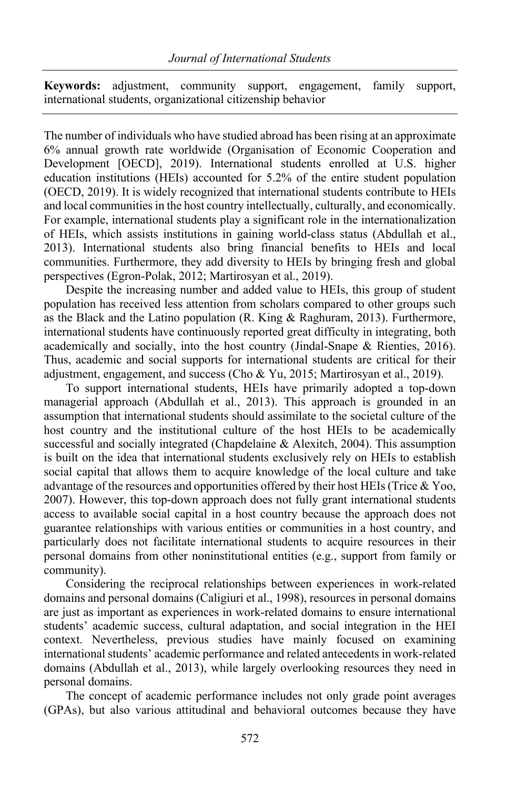**Keywords:** adjustment, community support, engagement, family support, international students, organizational citizenship behavior

The number of individuals who have studied abroad has been rising at an approximate 6% annual growth rate worldwide (Organisation of Economic Cooperation and Development [OECD], 2019). International students enrolled at U.S. higher education institutions (HEIs) accounted for 5.2% of the entire student population (OECD, 2019). It is widely recognized that international students contribute to HEIs and local communities in the host country intellectually, culturally, and economically. For example, international students play a significant role in the internationalization of HEIs, which assists institutions in gaining world-class status (Abdullah et al., 2013). International students also bring financial benefits to HEIs and local communities. Furthermore, they add diversity to HEIs by bringing fresh and global perspectives (Egron-Polak, 2012; Martirosyan et al., 2019).

Despite the increasing number and added value to HEIs, this group of student population has received less attention from scholars compared to other groups such as the Black and the Latino population (R. King & Raghuram, 2013). Furthermore, international students have continuously reported great difficulty in integrating, both academically and socially, into the host country (Jindal-Snape & Rienties, 2016). Thus, academic and social supports for international students are critical for their adjustment, engagement, and success (Cho & Yu, 2015; Martirosyan et al., 2019).

To support international students, HEIs have primarily adopted a top-down managerial approach (Abdullah et al., 2013). This approach is grounded in an assumption that international students should assimilate to the societal culture of the host country and the institutional culture of the host HEIs to be academically successful and socially integrated (Chapdelaine & Alexitch, 2004). This assumption is built on the idea that international students exclusively rely on HEIs to establish social capital that allows them to acquire knowledge of the local culture and take advantage of the resources and opportunities offered by their host HEIs (Trice & Yoo, 2007). However, this top-down approach does not fully grant international students access to available social capital in a host country because the approach does not guarantee relationships with various entities or communities in a host country, and particularly does not facilitate international students to acquire resources in their personal domains from other noninstitutional entities (e.g., support from family or community).

Considering the reciprocal relationships between experiences in work-related domains and personal domains (Caligiuri et al., 1998), resources in personal domains are just as important as experiences in work-related domains to ensure international students' academic success, cultural adaptation, and social integration in the HEI context. Nevertheless, previous studies have mainly focused on examining international students' academic performance and related antecedents in work-related domains (Abdullah et al., 2013), while largely overlooking resources they need in personal domains.

The concept of academic performance includes not only grade point averages (GPAs), but also various attitudinal and behavioral outcomes because they have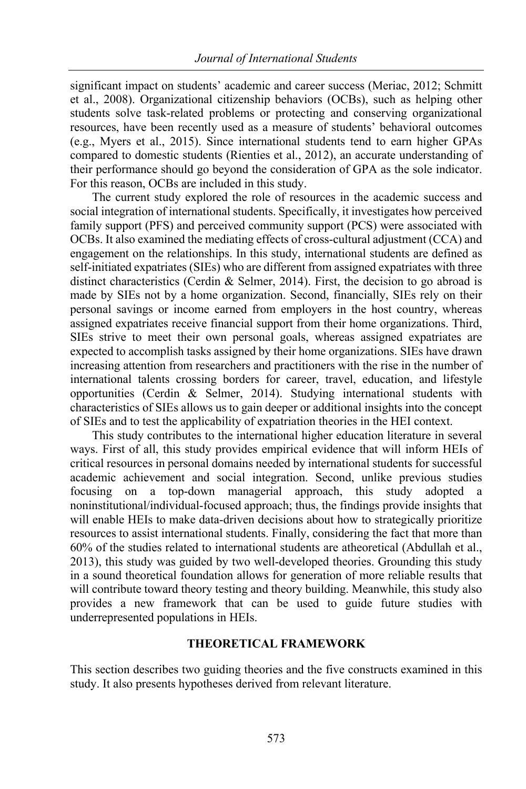significant impact on students' academic and career success (Meriac, 2012; Schmitt et al., 2008). Organizational citizenship behaviors (OCBs), such as helping other students solve task-related problems or protecting and conserving organizational resources, have been recently used as a measure of students' behavioral outcomes (e.g., Myers et al., 2015). Since international students tend to earn higher GPAs compared to domestic students (Rienties et al., 2012), an accurate understanding of their performance should go beyond the consideration of GPA as the sole indicator. For this reason, OCBs are included in this study.

The current study explored the role of resources in the academic success and social integration of international students. Specifically, it investigates how perceived family support (PFS) and perceived community support (PCS) were associated with OCBs. It also examined the mediating effects of cross-cultural adjustment (CCA) and engagement on the relationships. In this study, international students are defined as self-initiated expatriates (SIEs) who are different from assigned expatriates with three distinct characteristics (Cerdin & Selmer, 2014). First, the decision to go abroad is made by SIEs not by a home organization. Second, financially, SIEs rely on their personal savings or income earned from employers in the host country, whereas assigned expatriates receive financial support from their home organizations. Third, SIEs strive to meet their own personal goals, whereas assigned expatriates are expected to accomplish tasks assigned by their home organizations. SIEs have drawn increasing attention from researchers and practitioners with the rise in the number of international talents crossing borders for career, travel, education, and lifestyle opportunities (Cerdin & Selmer, 2014). Studying international students with characteristics of SIEs allows us to gain deeper or additional insights into the concept of SIEs and to test the applicability of expatriation theories in the HEI context.

This study contributes to the international higher education literature in several ways. First of all, this study provides empirical evidence that will inform HEIs of critical resources in personal domains needed by international students for successful academic achievement and social integration. Second, unlike previous studies focusing on a top-down managerial approach, this study adopted noninstitutional/individual-focused approach; thus, the findings provide insights that will enable HEIs to make data-driven decisions about how to strategically prioritize resources to assist international students. Finally, considering the fact that more than 60% of the studies related to international students are atheoretical (Abdullah et al., 2013), this study was guided by two well-developed theories. Grounding this study in a sound theoretical foundation allows for generation of more reliable results that will contribute toward theory testing and theory building. Meanwhile, this study also provides a new framework that can be used to guide future studies with underrepresented populations in HEIs.

# **THEORETICAL FRAMEWORK**

This section describes two guiding theories and the five constructs examined in this study. It also presents hypotheses derived from relevant literature.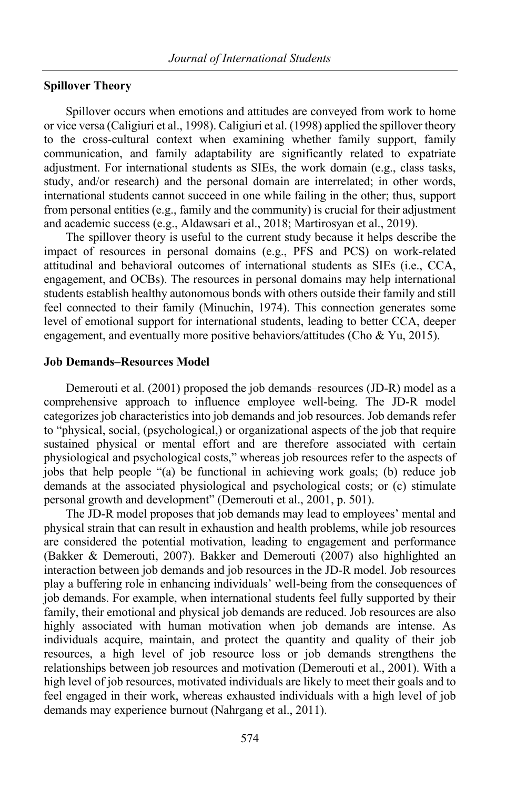# **Spillover Theory**

Spillover occurs when emotions and attitudes are conveyed from work to home or vice versa (Caligiuri et al., 1998). Caligiuri et al. (1998) applied the spillover theory to the cross-cultural context when examining whether family support, family communication, and family adaptability are significantly related to expatriate adjustment. For international students as SIEs, the work domain (e.g., class tasks, study, and/or research) and the personal domain are interrelated; in other words, international students cannot succeed in one while failing in the other; thus, support from personal entities (e.g., family and the community) is crucial for their adjustment and academic success (e.g., Aldawsari et al., 2018; Martirosyan et al., 2019).

The spillover theory is useful to the current study because it helps describe the impact of resources in personal domains (e.g., PFS and PCS) on work-related attitudinal and behavioral outcomes of international students as SIEs (i.e., CCA, engagement, and OCBs). The resources in personal domains may help international students establish healthy autonomous bonds with others outside their family and still feel connected to their family (Minuchin, 1974). This connection generates some level of emotional support for international students, leading to better CCA, deeper engagement, and eventually more positive behaviors/attitudes (Cho & Yu, 2015).

## **Job Demands–Resources Model**

Demerouti et al. (2001) proposed the job demands–resources (JD-R) model as a comprehensive approach to influence employee well-being. The JD-R model categorizes job characteristics into job demands and job resources. Job demands refer to "physical, social, (psychological,) or organizational aspects of the job that require sustained physical or mental effort and are therefore associated with certain physiological and psychological costs," whereas job resources refer to the aspects of jobs that help people "(a) be functional in achieving work goals; (b) reduce job demands at the associated physiological and psychological costs; or (c) stimulate personal growth and development" (Demerouti et al., 2001, p. 501).

The JD-R model proposes that job demands may lead to employees' mental and physical strain that can result in exhaustion and health problems, while job resources are considered the potential motivation, leading to engagement and performance (Bakker & Demerouti, 2007). Bakker and Demerouti (2007) also highlighted an interaction between job demands and job resources in the JD-R model. Job resources play a buffering role in enhancing individuals' well-being from the consequences of job demands. For example, when international students feel fully supported by their family, their emotional and physical job demands are reduced. Job resources are also highly associated with human motivation when job demands are intense. As individuals acquire, maintain, and protect the quantity and quality of their job resources, a high level of job resource loss or job demands strengthens the relationships between job resources and motivation (Demerouti et al., 2001). With a high level of job resources, motivated individuals are likely to meet their goals and to feel engaged in their work, whereas exhausted individuals with a high level of job demands may experience burnout (Nahrgang et al., 2011).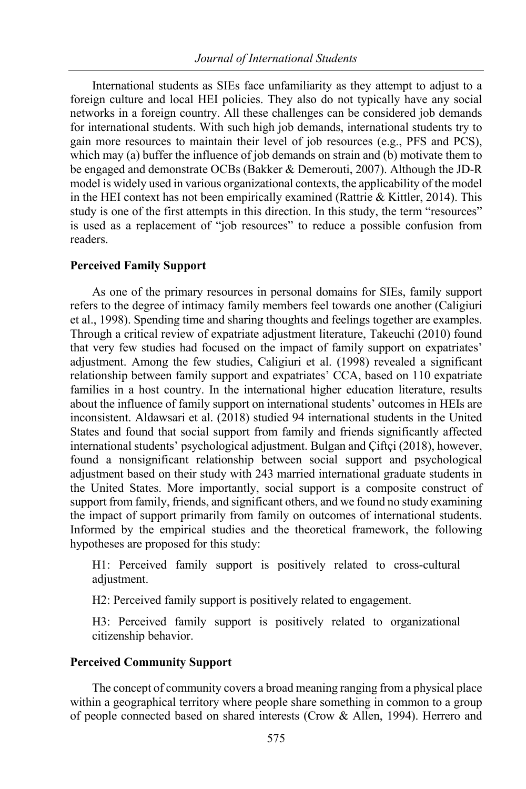International students as SIEs face unfamiliarity as they attempt to adjust to a foreign culture and local HEI policies. They also do not typically have any social networks in a foreign country. All these challenges can be considered job demands for international students. With such high job demands, international students try to gain more resources to maintain their level of job resources (e.g., PFS and PCS), which may (a) buffer the influence of job demands on strain and (b) motivate them to be engaged and demonstrate OCBs (Bakker & Demerouti, 2007). Although the JD-R model is widely used in various organizational contexts, the applicability of the model in the HEI context has not been empirically examined (Rattrie & Kittler, 2014). This study is one of the first attempts in this direction. In this study, the term "resources" is used as a replacement of "job resources" to reduce a possible confusion from readers.

# **Perceived Family Support**

As one of the primary resources in personal domains for SIEs, family support refers to the degree of intimacy family members feel towards one another (Caligiuri et al., 1998). Spending time and sharing thoughts and feelings together are examples. Through a critical review of expatriate adjustment literature, Takeuchi (2010) found that very few studies had focused on the impact of family support on expatriates' adjustment. Among the few studies, Caligiuri et al. (1998) revealed a significant relationship between family support and expatriates' CCA, based on 110 expatriate families in a host country. In the international higher education literature, results about the influence of family support on international students' outcomes in HEIs are inconsistent. Aldawsari et al. (2018) studied 94 international students in the United States and found that social support from family and friends significantly affected international students' psychological adjustment. Bulgan and Çiftçi (2018), however, found a nonsignificant relationship between social support and psychological adjustment based on their study with 243 married international graduate students in the United States. More importantly, social support is a composite construct of support from family, friends, and significant others, and we found no study examining the impact of support primarily from family on outcomes of international students. Informed by the empirical studies and the theoretical framework, the following hypotheses are proposed for this study:

H1: Perceived family support is positively related to cross-cultural adjustment.

H2: Perceived family support is positively related to engagement.

H3: Perceived family support is positively related to organizational citizenship behavior.

# **Perceived Community Support**

The concept of community covers a broad meaning ranging from a physical place within a geographical territory where people share something in common to a group of people connected based on shared interests (Crow & Allen, 1994). Herrero and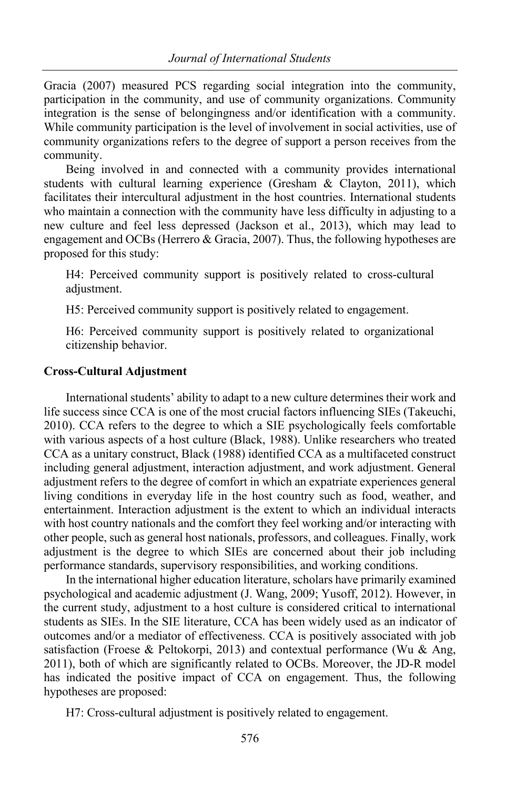Gracia (2007) measured PCS regarding social integration into the community, participation in the community, and use of community organizations. Community integration is the sense of belongingness and/or identification with a community. While community participation is the level of involvement in social activities, use of community organizations refers to the degree of support a person receives from the community.

Being involved in and connected with a community provides international students with cultural learning experience (Gresham & Clayton, 2011), which facilitates their intercultural adjustment in the host countries. International students who maintain a connection with the community have less difficulty in adjusting to a new culture and feel less depressed (Jackson et al., 2013), which may lead to engagement and OCBs (Herrero & Gracia, 2007). Thus, the following hypotheses are proposed for this study:

H4: Perceived community support is positively related to cross-cultural adjustment.

H5: Perceived community support is positively related to engagement.

H6: Perceived community support is positively related to organizational citizenship behavior.

# **Cross-Cultural Adjustment**

International students' ability to adapt to a new culture determines their work and life success since CCA is one of the most crucial factors influencing SIEs (Takeuchi, 2010). CCA refers to the degree to which a SIE psychologically feels comfortable with various aspects of a host culture (Black, 1988). Unlike researchers who treated CCA as a unitary construct, Black (1988) identified CCA as a multifaceted construct including general adjustment, interaction adjustment, and work adjustment. General adjustment refers to the degree of comfort in which an expatriate experiences general living conditions in everyday life in the host country such as food, weather, and entertainment. Interaction adjustment is the extent to which an individual interacts with host country nationals and the comfort they feel working and/or interacting with other people, such as general host nationals, professors, and colleagues. Finally, work adjustment is the degree to which SIEs are concerned about their job including performance standards, supervisory responsibilities, and working conditions.

In the international higher education literature, scholars have primarily examined psychological and academic adjustment (J. Wang, 2009; Yusoff, 2012). However, in the current study, adjustment to a host culture is considered critical to international students as SIEs. In the SIE literature, CCA has been widely used as an indicator of outcomes and/or a mediator of effectiveness. CCA is positively associated with job satisfaction (Froese & Peltokorpi, 2013) and contextual performance (Wu & Ang, 2011), both of which are significantly related to OCBs. Moreover, the JD-R model has indicated the positive impact of CCA on engagement. Thus, the following hypotheses are proposed:

H7: Cross-cultural adjustment is positively related to engagement.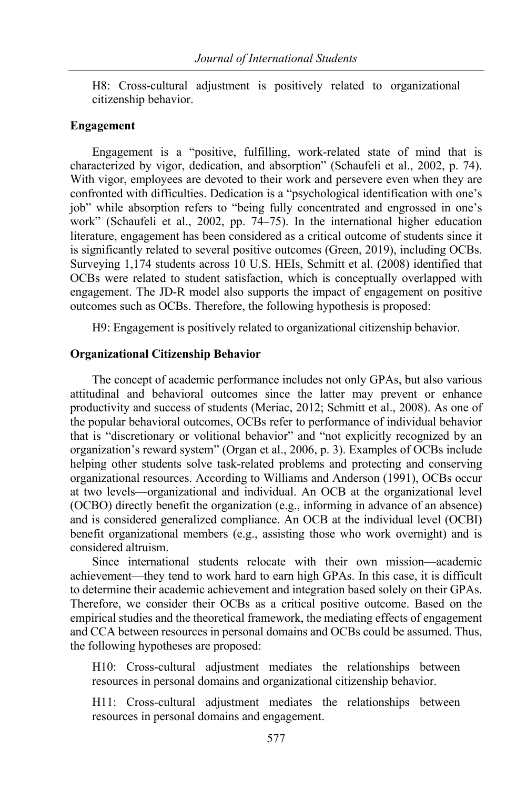H8: Cross-cultural adjustment is positively related to organizational citizenship behavior.

## **Engagement**

Engagement is a "positive, fulfilling, work-related state of mind that is characterized by vigor, dedication, and absorption" (Schaufeli et al., 2002, p. 74). With vigor, employees are devoted to their work and persevere even when they are confronted with difficulties. Dedication is a "psychological identification with one's job" while absorption refers to "being fully concentrated and engrossed in one's work" (Schaufeli et al., 2002, pp. 74–75). In the international higher education literature, engagement has been considered as a critical outcome of students since it is significantly related to several positive outcomes (Green, 2019), including OCBs. Surveying 1,174 students across 10 U.S. HEIs, Schmitt et al. (2008) identified that OCBs were related to student satisfaction, which is conceptually overlapped with engagement. The JD-R model also supports the impact of engagement on positive outcomes such as OCBs. Therefore, the following hypothesis is proposed:

H9: Engagement is positively related to organizational citizenship behavior.

# **Organizational Citizenship Behavior**

The concept of academic performance includes not only GPAs, but also various attitudinal and behavioral outcomes since the latter may prevent or enhance productivity and success of students (Meriac, 2012; Schmitt et al., 2008). As one of the popular behavioral outcomes, OCBs refer to performance of individual behavior that is "discretionary or volitional behavior" and "not explicitly recognized by an organization's reward system" (Organ et al., 2006, p. 3). Examples of OCBs include helping other students solve task-related problems and protecting and conserving organizational resources. According to Williams and Anderson (1991), OCBs occur at two levels—organizational and individual. An OCB at the organizational level (OCBO) directly benefit the organization (e.g., informing in advance of an absence) and is considered generalized compliance. An OCB at the individual level (OCBI) benefit organizational members (e.g., assisting those who work overnight) and is considered altruism.

Since international students relocate with their own mission—academic achievement—they tend to work hard to earn high GPAs. In this case, it is difficult to determine their academic achievement and integration based solely on their GPAs. Therefore, we consider their OCBs as a critical positive outcome. Based on the empirical studies and the theoretical framework, the mediating effects of engagement and CCA between resources in personal domains and OCBs could be assumed. Thus, the following hypotheses are proposed:

H10: Cross-cultural adjustment mediates the relationships between resources in personal domains and organizational citizenship behavior.

H11: Cross-cultural adjustment mediates the relationships between resources in personal domains and engagement.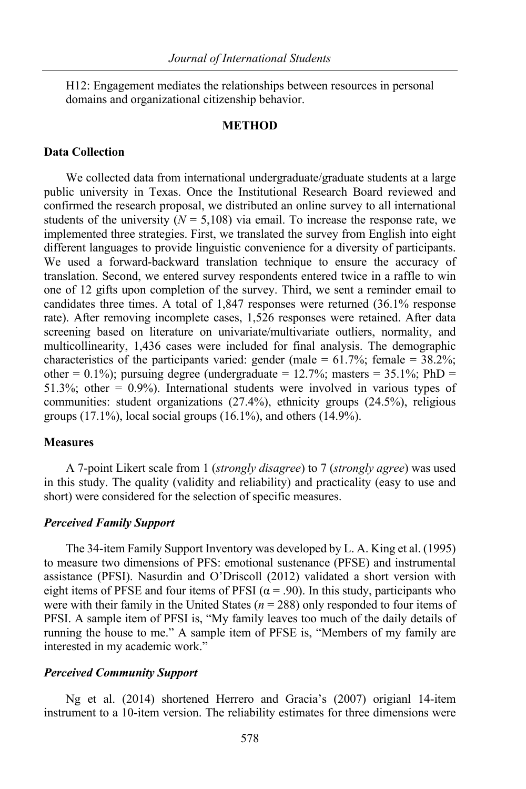H12: Engagement mediates the relationships between resources in personal domains and organizational citizenship behavior.

## **METHOD**

# **Data Collection**

We collected data from international undergraduate/graduate students at a large public university in Texas. Once the Institutional Research Board reviewed and confirmed the research proposal, we distributed an online survey to all international students of the university  $(N = 5,108)$  via email. To increase the response rate, we implemented three strategies. First, we translated the survey from English into eight different languages to provide linguistic convenience for a diversity of participants. We used a forward-backward translation technique to ensure the accuracy of translation. Second, we entered survey respondents entered twice in a raffle to win one of 12 gifts upon completion of the survey. Third, we sent a reminder email to candidates three times. A total of 1,847 responses were returned (36.1% response rate). After removing incomplete cases, 1,526 responses were retained. After data screening based on literature on univariate/multivariate outliers, normality, and multicollinearity, 1,436 cases were included for final analysis. The demographic characteristics of the participants varied: gender (male =  $61.7\%$ ; female =  $38.2\%$ ; other = 0.1%); pursuing degree (undergraduate = 12.7%; masters = 35.1%; PhD = 51.3%; other  $= 0.9\%$ ). International students were involved in various types of communities: student organizations (27.4%), ethnicity groups (24.5%), religious groups  $(17.1\%)$ , local social groups  $(16.1\%)$ , and others  $(14.9\%)$ .

# **Measures**

A 7-point Likert scale from 1 (*strongly disagree*) to 7 (*strongly agree*) was used in this study. The quality (validity and reliability) and practicality (easy to use and short) were considered for the selection of specific measures.

#### *Perceived Family Support*

The 34-item Family Support Inventory was developed by L. A. King et al. (1995) to measure two dimensions of PFS: emotional sustenance (PFSE) and instrumental assistance (PFSI). Nasurdin and O'Driscoll (2012) validated a short version with eight items of PFSE and four items of PFSI ( $\alpha$  = .90). In this study, participants who were with their family in the United States ( $n = 288$ ) only responded to four items of PFSI. A sample item of PFSI is, "My family leaves too much of the daily details of running the house to me." A sample item of PFSE is, "Members of my family are interested in my academic work."

#### *Perceived Community Support*

Ng et al. (2014) shortened Herrero and Gracia's (2007) origianl 14-item instrument to a 10-item version. The reliability estimates for three dimensions were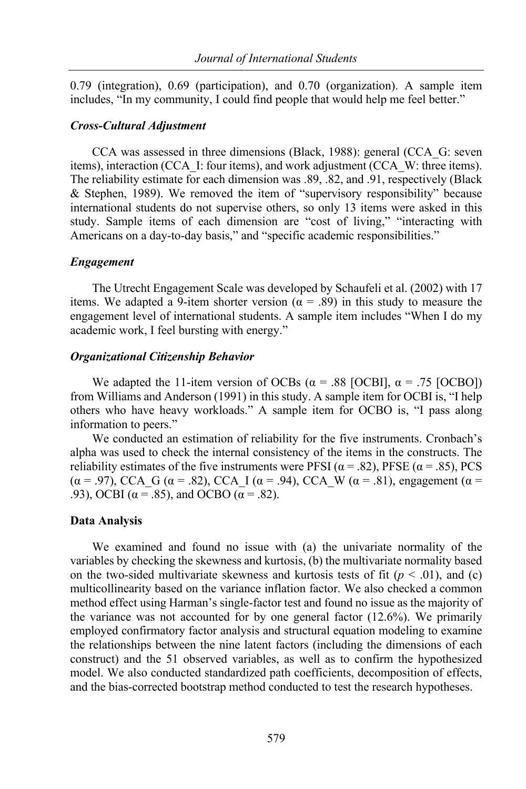0.79 (integration), 0.69 (participation), and 0.70 (organization). A sample item includes, "In my community, I could find people that would help me feel better."

### *Cross-Cultural Adjustment*

CCA was assessed in three dimensions (Black, 1988): general (CCA\_G: seven items), interaction (CCA\_I: four items), and work adjustment (CCA\_W: three items). The reliability estimate for each dimension was .89, .82, and .91, respectively (Black & Stephen, 1989). We removed the item of "supervisory responsibility" because international students do not supervise others, so only 13 items were asked in this study. Sample items of each dimension are "cost of living," "interacting with Americans on a day-to-day basis," and "specific academic responsibilities."

## *Engagement*

The Utrecht Engagement Scale was developed by Schaufeli et al. (2002) with 17 items. We adapted a 9-item shorter version ( $\alpha = .89$ ) in this study to measure the engagement level of international students. A sample item includes "When I do my academic work, I feel bursting with energy."

## *Organizational Citizenship Behavior*

We adapted the 11-item version of OCBs ( $\alpha$  = .88 [OCBI],  $\alpha$  = .75 [OCBO]) from Williams and Anderson (1991) in this study. A sample item for OCBI is, "I help others who have heavy workloads." A sample item for OCBO is, "I pass along information to peers."

We conducted an estimation of reliability for the five instruments. Cronbach's alpha was used to check the internal consistency of the items in the constructs. The reliability estimates of the five instruments were PFSI ( $\alpha$  = .82), PFSE ( $\alpha$  = .85), PCS (α = .97), CCA G (α = .82), CCA I (α = .94), CCA W (α = .81), engagement (α = .93), OCBI ( $\alpha$  = .85), and OCBO ( $\alpha$  = .82).

# **Data Analysis**

We examined and found no issue with (a) the univariate normality of the variables by checking the skewness and kurtosis, (b) the multivariate normality based on the two-sided multivariate skewness and kurtosis tests of fit  $(p < .01)$ , and (c) multicollinearity based on the variance inflation factor. We also checked a common method effect using Harman's single-factor test and found no issue as the majority of the variance was not accounted for by one general factor (12.6%). We primarily employed confirmatory factor analysis and structural equation modeling to examine the relationships between the nine latent factors (including the dimensions of each construct) and the 51 observed variables, as well as to confirm the hypothesized model. We also conducted standardized path coefficients, decomposition of effects, and the bias-corrected bootstrap method conducted to test the research hypotheses.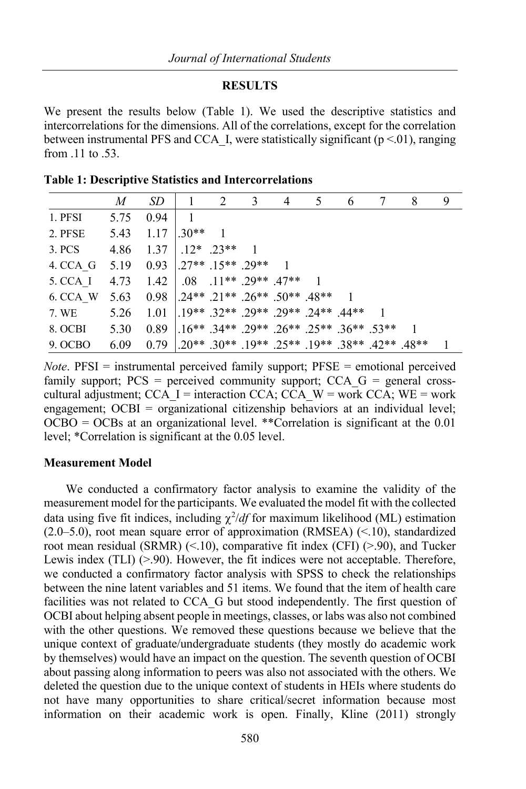## **RESULTS**

We present the results below (Table 1). We used the descriptive statistics and intercorrelations for the dimensions. All of the correlations, except for the correlation between instrumental PFS and CCA I, were statistically significant ( $p < 01$ ), ranging from .11 to .53.

|          | M    | SD.                                             | 1              | 2                        | 3 | 4 | 5                                                        | 6 | 8 | 9 |
|----------|------|-------------------------------------------------|----------------|--------------------------|---|---|----------------------------------------------------------|---|---|---|
| 1. PFSI  | 5.75 | 0.94                                            | $\overline{1}$ |                          |   |   |                                                          |   |   |   |
| 2. PFSE  | 5.43 | 1.17                                            | $1.30**$       | $\overline{1}$           |   |   |                                                          |   |   |   |
| 3. PCS   | 4.86 | 1.37                                            |                | $1.12^*$ .23**           |   |   |                                                          |   |   |   |
| 4. CCA G |      | $5.19$ $0.93$ $1.27**$ $15**$ $.29**$           |                |                          |   |   |                                                          |   |   |   |
| 5. CCA I | 4.73 | 1.42                                            |                | $0.08$ .11** .29** .47** |   |   |                                                          |   |   |   |
| 6. CCA W | 5.63 | $0.98$ $1.24**$ $.21**$ $.26**$ $.50**$ $.48**$ |                |                          |   |   |                                                          |   |   |   |
| 7. WE    | 5.26 | 1.01                                            |                |                          |   |   | $1.19**$ 32** 29** 29** 24** 44**                        |   |   |   |
| 8. OCBI  | 5.30 | 0.89                                            |                |                          |   |   | $1.16**$ $.34**$ $.29**$ $.26**$ $.25**$ $.36**$ $.53**$ |   |   |   |
| 9. OCBO  | 6.09 | 0.79                                            |                |                          |   |   | $1.20**$ .30** .19** .25** .19** .38** .42** .48**       |   |   |   |

**Table 1: Descriptive Statistics and Intercorrelations**

*Note*. PFSI = instrumental perceived family support; PFSE = emotional perceived family support;  $PCS$  = perceived community support;  $CCA$   $G$  = general crosscultural adjustment; CCA\_I = interaction CCA; CCA\_W = work CCA; WE = work engagement; OCBI = organizational citizenship behaviors at an individual level;  $OCBO = OCBs$  at an organizational level. \*\*Correlation is significant at the 0.01 level; \*Correlation is significant at the 0.05 level.

# **Measurement Model**

We conducted a confirmatory factor analysis to examine the validity of the measurement model for the participants. We evaluated the model fit with the collected data using five fit indices, including  $\chi^2/df$  for maximum likelihood (ML) estimation (2.0–5.0), root mean square error of approximation (RMSEA) (<.10), standardized root mean residual (SRMR) (<.10), comparative fit index (CFI) (>.90), and Tucker Lewis index (TLI) (>.90). However, the fit indices were not acceptable. Therefore, we conducted a confirmatory factor analysis with SPSS to check the relationships between the nine latent variables and 51 items. We found that the item of health care facilities was not related to CCA\_G but stood independently. The first question of OCBI about helping absent people in meetings, classes, or labs was also not combined with the other questions. We removed these questions because we believe that the unique context of graduate/undergraduate students (they mostly do academic work by themselves) would have an impact on the question. The seventh question of OCBI about passing along information to peers was also not associated with the others. We deleted the question due to the unique context of students in HEIs where students do not have many opportunities to share critical/secret information because most information on their academic work is open. Finally, Kline (2011) strongly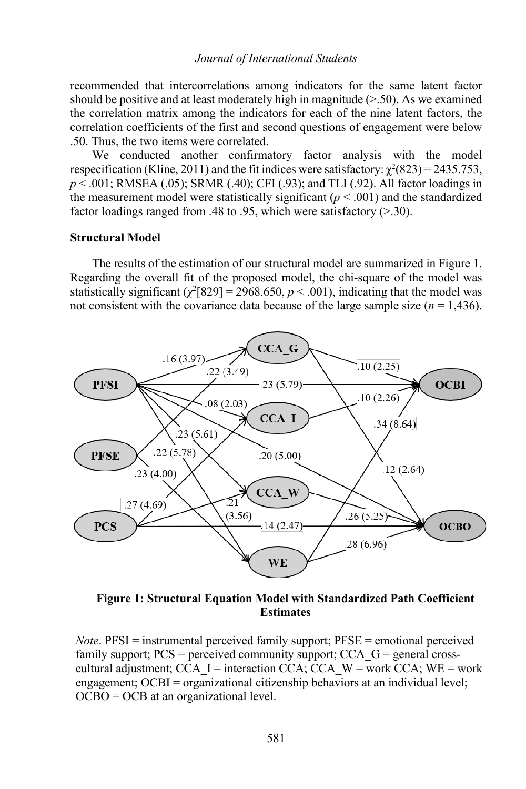recommended that intercorrelations among indicators for the same latent factor should be positive and at least moderately high in magnitude  $(> 50)$ . As we examined the correlation matrix among the indicators for each of the nine latent factors, the correlation coefficients of the first and second questions of engagement were below .50. Thus, the two items were correlated.

We conducted another confirmatory factor analysis with the model respecification (Kline, 2011) and the fit indices were satisfactory:  $\chi^2(823) = 2435.753$ , *p* < .001; RMSEA (.05); SRMR (.40); CFI (.93); and TLI (.92). All factor loadings in the measurement model were statistically significant  $(p < .001)$  and the standardized factor loadings ranged from .48 to .95, which were satisfactory (>.30).

# **Structural Model**

The results of the estimation of our structural model are summarized in Figure 1. Regarding the overall fit of the proposed model, the chi-square of the model was statistically significant  $(\chi^2[829] = 2968.650, p < .001)$ , indicating that the model was not consistent with the covariance data because of the large sample size  $(n = 1,436)$ .



**Figure 1: Structural Equation Model with Standardized Path Coefficient Estimates**

*Note*. PFSI = instrumental perceived family support; PFSE = emotional perceived family support;  $PCS =$  perceived community support;  $CCA$   $G =$  general crosscultural adjustment; CCA\_I = interaction CCA; CCA\_W = work CCA; WE = work engagement; OCBI = organizational citizenship behaviors at an individual level; OCBO = OCB at an organizational level.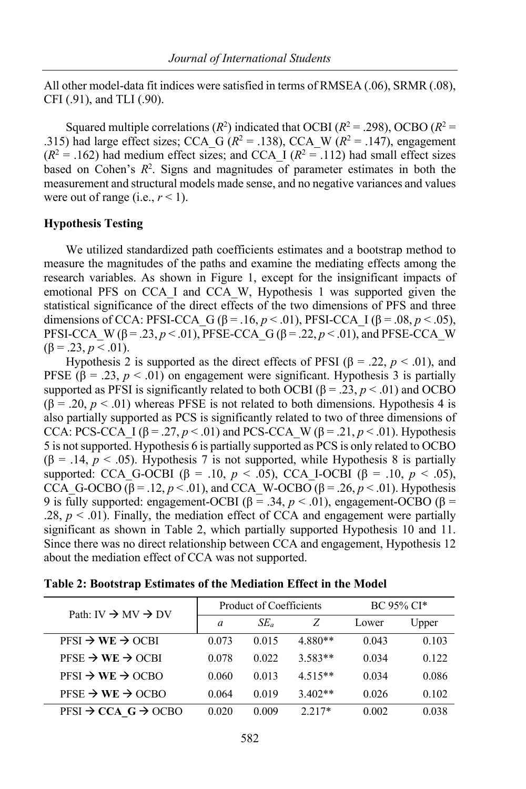All other model-data fit indices were satisfied in terms of RMSEA (.06), SRMR (.08), CFI (.91), and TLI (.90).

Squared multiple correlations  $(R^2)$  indicated that OCBI  $(R^2 = .298)$ , OCBO  $(R^2 = .298)$ .315) had large effect sizes; CCA\_G ( $R^2$  = .138), CCA\_W ( $R^2$  = .147), engagement  $(R^2 = .162)$  had medium effect sizes; and CCA I  $(R^2 = .112)$  had small effect sizes based on Cohen's  $R^2$ . Signs and magnitudes of parameter estimates in both the measurement and structural models made sense, and no negative variances and values were out of range (i.e.,  $r < 1$ ).

# **Hypothesis Testing**

We utilized standardized path coefficients estimates and a bootstrap method to measure the magnitudes of the paths and examine the mediating effects among the research variables. As shown in Figure 1, except for the insignificant impacts of emotional PFS on CCA\_I and CCA\_W, Hypothesis 1 was supported given the statistical significance of the direct effects of the two dimensions of PFS and three dimensions of CCA: PFSI-CCA\_G ( $\beta$  = .16,  $p$  < .01), PFSI-CCA\_I ( $\beta$  = .08,  $p$  < .05), PFSI-CCA\_W ( $\beta$  = .23, *p* < .01), PFSE-CCA\_G ( $\beta$  = .22, *p* < .01), and PFSE-CCA\_W  $(\beta = .23, p < .01).$ 

Hypothesis 2 is supported as the direct effects of PFSI (β = .22,  $p < .01$ ), and PFSE ( $\beta$  = .23,  $p < .01$ ) on engagement were significant. Hypothesis 3 is partially supported as PFSI is significantly related to both OCBI ( $\beta = .23$ ,  $p < .01$ ) and OCBO  $(\beta = .20, p < .01)$  whereas PFSE is not related to both dimensions. Hypothesis 4 is also partially supported as PCS is significantly related to two of three dimensions of CCA: PCS-CCA<sup>I</sup>  $[(\beta = .27, p < .01)$  and PCS-CCA W ( $\beta = .21, p < .01$ ). Hypothesis 5 is not supported. Hypothesis 6 is partially supported as PCS is only related to OCBO (β = .14, *p* < .05). Hypothesis 7 is not supported, while Hypothesis 8 is partially supported: CCA G-OCBI ( $\beta$  = .10, *p* < .05), CCA I-OCBI ( $\beta$  = .10, *p* < .05), CCA\_G-OCBO (β = .12,  $p < .01$ ), and CCA\_W-OCBO (β = .26,  $p < .01$ ). Hypothesis 9 is fully supported: engagement-OCBI ( $\beta$  = .34, *p* < .01), engagement-OCBO ( $\beta$  = .28,  $p < .01$ ). Finally, the mediation effect of CCA and engagement were partially significant as shown in Table 2, which partially supported Hypothesis 10 and 11. Since there was no direct relationship between CCA and engagement, Hypothesis 12 about the mediation effect of CCA was not supported.

| Path: IV $\rightarrow$ MV $\rightarrow$ DV  |                | Product of Coefficients | $BC 95\% CI*$ |       |       |
|---------------------------------------------|----------------|-------------------------|---------------|-------|-------|
|                                             | $\overline{a}$ | $SE_a$                  | Ζ             | Lower | Upper |
| $PFSI \rightarrow WE \rightarrow OCBI$      | 0.073          | 0.015                   | 4.880**       | 0.043 | 0.103 |
| $PFSE \rightarrow WE \rightarrow OCH$       | 0.078          | 0.022                   | $3.583**$     | 0.034 | 0.122 |
| $PFSI \rightarrow WE \rightarrow OCBO$      | 0.060          | 0.013                   | $4.515**$     | 0.034 | 0.086 |
| $PFSE \rightarrow WE \rightarrow OCBO$      | 0.064          | 0.019                   | $3.402**$     | 0.026 | 0.102 |
| $PFSI \rightarrow CCA \ G \rightarrow OCBO$ | 0.020          | 0.009                   | $2.217*$      | 0.002 | 0.038 |

**Table 2: Bootstrap Estimates of the Mediation Effect in the Model**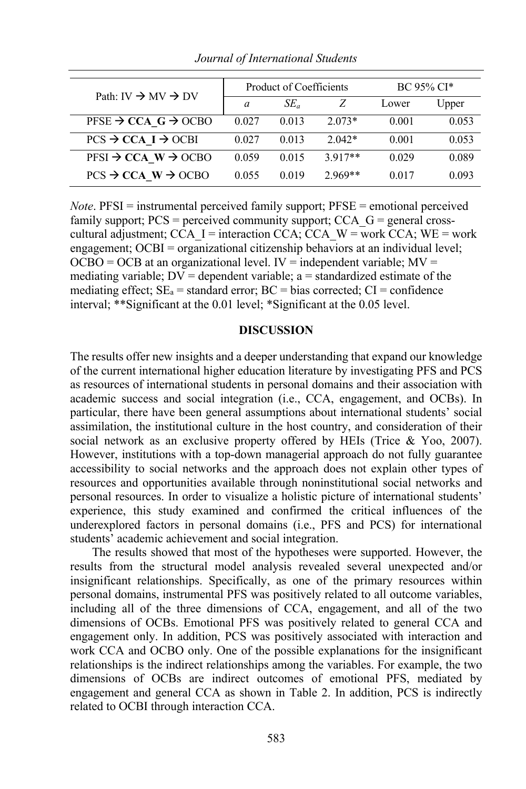| Path: IV $\rightarrow$ MV $\rightarrow$ DV  |       | Product of Coefficients | BC 95% CI* |       |       |
|---------------------------------------------|-------|-------------------------|------------|-------|-------|
|                                             | a     | $SE_a$                  |            | Lower | Upper |
| PFSE $\rightarrow$ CCA G $\rightarrow$ OCBO | 0.027 | 0.013                   | $2.073*$   | 0.001 | 0.053 |
| $PCS \rightarrow CCA$ I $\rightarrow$ OCBI  | 0.027 | 0.013                   | $2.042*$   | 0.001 | 0.053 |
| $PFSI \rightarrow CCA \ W \rightarrow OCBO$ | 0.059 | 0.015                   | $3.917**$  | 0.029 | 0.089 |
| $PCS \rightarrow CCA$ W $\rightarrow$ OCBO  | 0.055 | 0.019                   | $2.969**$  | 0.017 | 0.093 |

*Journal of International Students*

*Note*. PFSI = instrumental perceived family support; PFSE = emotional perceived family support;  $PCS =$  perceived community support;  $CCA$   $G =$  general crosscultural adjustment; CCA\_I = interaction CCA; CCA\_W = work CCA; WE = work engagement; OCBI = organizational citizenship behaviors at an individual level;  $OCBO = OCB$  at an organizational level. IV = independent variable;  $MV =$ mediating variable;  $DV =$  dependent variable; a = standardized estimate of the mediating effect;  $SE_a$  = standard error;  $BC$  = bias corrected;  $CI$  = confidence interval; \*\*Significant at the 0.01 level; \*Significant at the 0.05 level.

# **DISCUSSION**

The results offer new insights and a deeper understanding that expand our knowledge of the current international higher education literature by investigating PFS and PCS as resources of international students in personal domains and their association with academic success and social integration (i.e., CCA, engagement, and OCBs). In particular, there have been general assumptions about international students' social assimilation, the institutional culture in the host country, and consideration of their social network as an exclusive property offered by HEIs (Trice & Yoo, 2007). However, institutions with a top-down managerial approach do not fully guarantee accessibility to social networks and the approach does not explain other types of resources and opportunities available through noninstitutional social networks and personal resources. In order to visualize a holistic picture of international students' experience, this study examined and confirmed the critical influences of the underexplored factors in personal domains (i.e., PFS and PCS) for international students' academic achievement and social integration.

The results showed that most of the hypotheses were supported. However, the results from the structural model analysis revealed several unexpected and/or insignificant relationships. Specifically, as one of the primary resources within personal domains, instrumental PFS was positively related to all outcome variables, including all of the three dimensions of CCA, engagement, and all of the two dimensions of OCBs. Emotional PFS was positively related to general CCA and engagement only. In addition, PCS was positively associated with interaction and work CCA and OCBO only. One of the possible explanations for the insignificant relationships is the indirect relationships among the variables. For example, the two dimensions of OCBs are indirect outcomes of emotional PFS, mediated by engagement and general CCA as shown in Table 2. In addition, PCS is indirectly related to OCBI through interaction CCA.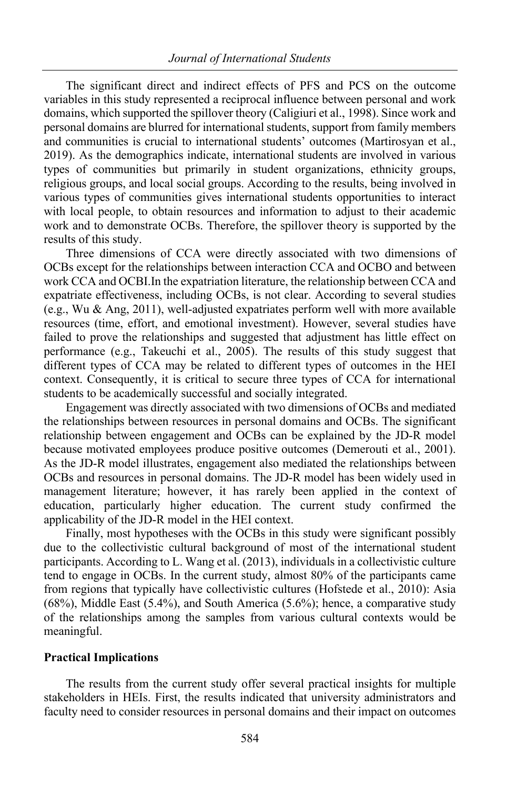The significant direct and indirect effects of PFS and PCS on the outcome variables in this study represented a reciprocal influence between personal and work domains, which supported the spillover theory (Caligiuri et al., 1998). Since work and personal domains are blurred for international students, support from family members and communities is crucial to international students' outcomes (Martirosyan et al., 2019). As the demographics indicate, international students are involved in various types of communities but primarily in student organizations, ethnicity groups, religious groups, and local social groups. According to the results, being involved in various types of communities gives international students opportunities to interact with local people, to obtain resources and information to adjust to their academic work and to demonstrate OCBs. Therefore, the spillover theory is supported by the results of this study.

Three dimensions of CCA were directly associated with two dimensions of OCBs except for the relationships between interaction CCA and OCBO and between work CCA and OCBI.In the expatriation literature, the relationship between CCA and expatriate effectiveness, including OCBs, is not clear. According to several studies (e.g., Wu & Ang, 2011), well-adjusted expatriates perform well with more available resources (time, effort, and emotional investment). However, several studies have failed to prove the relationships and suggested that adjustment has little effect on performance (e.g., Takeuchi et al., 2005). The results of this study suggest that different types of CCA may be related to different types of outcomes in the HEI context. Consequently, it is critical to secure three types of CCA for international students to be academically successful and socially integrated.

Engagement was directly associated with two dimensions of OCBs and mediated the relationships between resources in personal domains and OCBs. The significant relationship between engagement and OCBs can be explained by the JD-R model because motivated employees produce positive outcomes (Demerouti et al., 2001). As the JD-R model illustrates, engagement also mediated the relationships between OCBs and resources in personal domains. The JD-R model has been widely used in management literature; however, it has rarely been applied in the context of education, particularly higher education. The current study confirmed the applicability of the JD-R model in the HEI context.

Finally, most hypotheses with the OCBs in this study were significant possibly due to the collectivistic cultural background of most of the international student participants. According to L. Wang et al. (2013), individuals in a collectivistic culture tend to engage in OCBs. In the current study, almost 80% of the participants came from regions that typically have collectivistic cultures (Hofstede et al., 2010): Asia (68%), Middle East (5.4%), and South America (5.6%); hence, a comparative study of the relationships among the samples from various cultural contexts would be meaningful.

## **Practical Implications**

The results from the current study offer several practical insights for multiple stakeholders in HEIs. First, the results indicated that university administrators and faculty need to consider resources in personal domains and their impact on outcomes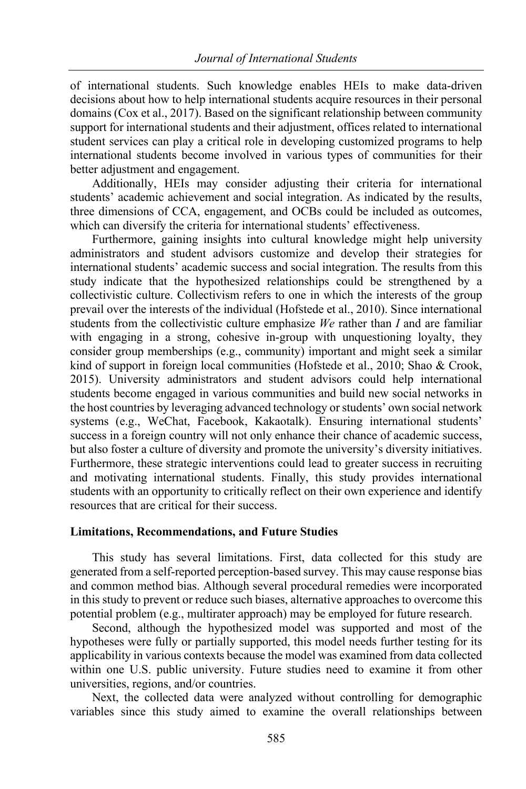of international students. Such knowledge enables HEIs to make data-driven decisions about how to help international students acquire resources in their personal domains (Cox et al., 2017). Based on the significant relationship between community support for international students and their adjustment, offices related to international student services can play a critical role in developing customized programs to help international students become involved in various types of communities for their better adjustment and engagement.

Additionally, HEIs may consider adjusting their criteria for international students' academic achievement and social integration. As indicated by the results, three dimensions of CCA, engagement, and OCBs could be included as outcomes, which can diversify the criteria for international students' effectiveness.

Furthermore, gaining insights into cultural knowledge might help university administrators and student advisors customize and develop their strategies for international students' academic success and social integration. The results from this study indicate that the hypothesized relationships could be strengthened by a collectivistic culture. Collectivism refers to one in which the interests of the group prevail over the interests of the individual (Hofstede et al., 2010). Since international students from the collectivistic culture emphasize *We* rather than *I* and are familiar with engaging in a strong, cohesive in-group with unquestioning loyalty, they consider group memberships (e.g., community) important and might seek a similar kind of support in foreign local communities (Hofstede et al., 2010; Shao & Crook, 2015). University administrators and student advisors could help international students become engaged in various communities and build new social networks in the host countries by leveraging advanced technology or students' own social network systems (e.g., WeChat, Facebook, Kakaotalk). Ensuring international students' success in a foreign country will not only enhance their chance of academic success, but also foster a culture of diversity and promote the university's diversity initiatives. Furthermore, these strategic interventions could lead to greater success in recruiting and motivating international students. Finally, this study provides international students with an opportunity to critically reflect on their own experience and identify resources that are critical for their success.

## **Limitations, Recommendations, and Future Studies**

This study has several limitations. First, data collected for this study are generated from a self-reported perception-based survey. This may cause response bias and common method bias. Although several procedural remedies were incorporated in this study to prevent or reduce such biases, alternative approaches to overcome this potential problem (e.g., multirater approach) may be employed for future research.

Second, although the hypothesized model was supported and most of the hypotheses were fully or partially supported, this model needs further testing for its applicability in various contexts because the model was examined from data collected within one U.S. public university. Future studies need to examine it from other universities, regions, and/or countries.

Next, the collected data were analyzed without controlling for demographic variables since this study aimed to examine the overall relationships between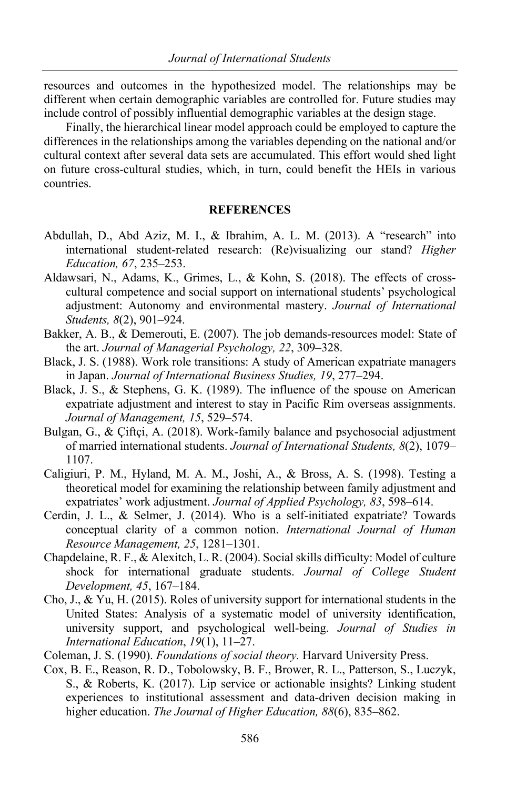resources and outcomes in the hypothesized model. The relationships may be different when certain demographic variables are controlled for. Future studies may include control of possibly influential demographic variables at the design stage.

Finally, the hierarchical linear model approach could be employed to capture the differences in the relationships among the variables depending on the national and/or cultural context after several data sets are accumulated. This effort would shed light on future cross-cultural studies, which, in turn, could benefit the HEIs in various countries.

# **REFERENCES**

- Abdullah, D., Abd Aziz, M. I., & Ibrahim, A. L. M. (2013). A "research" into international student-related research: (Re)visualizing our stand? *Higher Education, 67*, 235–253.
- Aldawsari, N., Adams, K., Grimes, L., & Kohn, S. (2018). The effects of crosscultural competence and social support on international students' psychological adjustment: Autonomy and environmental mastery. *Journal of International Students, 8*(2), 901–924.
- Bakker, A. B., & Demerouti, E. (2007). The job demands-resources model: State of the art. *Journal of Managerial Psychology, 22*, 309–328.
- Black, J. S. (1988). Work role transitions: A study of American expatriate managers in Japan. *Journal of International Business Studies, 19*, 277–294.
- Black, J. S., & Stephens, G. K. (1989). The influence of the spouse on American expatriate adjustment and interest to stay in Pacific Rim overseas assignments. *Journal of Management, 15*, 529–574.
- Bulgan, G., & Çiftçi, A. (2018). Work-family balance and psychosocial adjustment of married international students. *Journal of International Students, 8*(2), 1079– 1107.
- Caligiuri, P. M., Hyland, M. A. M., Joshi, A., & Bross, A. S. (1998). Testing a theoretical model for examining the relationship between family adjustment and expatriates' work adjustment. *Journal of Applied Psychology, 83*, 598–614.
- Cerdin, J. L., & Selmer, J. (2014). Who is a self-initiated expatriate? Towards conceptual clarity of a common notion. *International Journal of Human Resource Management, 25*, 1281–1301.
- Chapdelaine, R. F., & Alexitch, L. R. (2004). Social skills difficulty: Model of culture shock for international graduate students. *Journal of College Student Development, 45*, 167–184.
- Cho, J., & Yu, H. (2015). Roles of university support for international students in the United States: Analysis of a systematic model of university identification, university support, and psychological well-being. *Journal of Studies in International Education*, *19*(1), 11–27.
- Coleman, J. S. (1990). *Foundations of social theory.* Harvard University Press.
- Cox, B. E., Reason, R. D., Tobolowsky, B. F., Brower, R. L., Patterson, S., Luczyk, S., & Roberts, K. (2017). Lip service or actionable insights? Linking student experiences to institutional assessment and data-driven decision making in higher education. *The Journal of Higher Education, 88*(6), 835–862.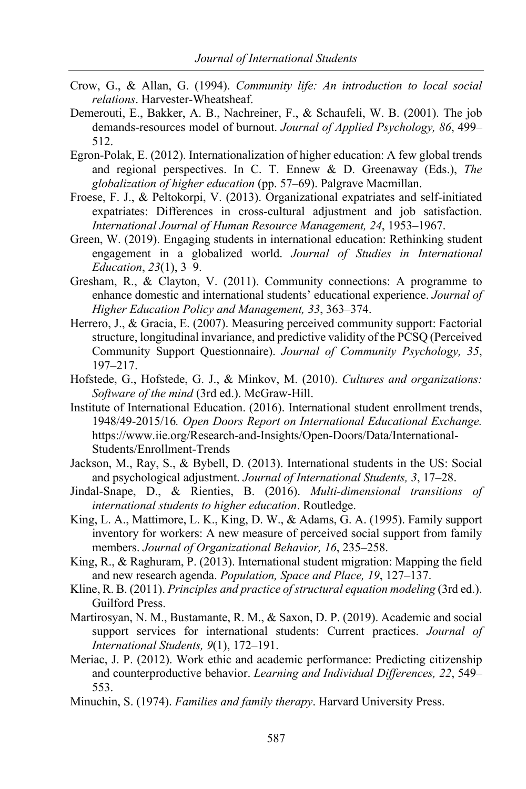- Crow, G., & Allan, G. (1994). *Community life: An introduction to local social relations*. Harvester-Wheatsheaf.
- Demerouti, E., Bakker, A. B., Nachreiner, F., & Schaufeli, W. B. (2001). The job demands-resources model of burnout. *Journal of Applied Psychology, 86*, 499– 512.
- Egron-Polak, E. (2012). Internationalization of higher education: A few global trends and regional perspectives. In C. T. Ennew & D. Greenaway (Eds.), *The globalization of higher education* (pp. 57–69). Palgrave Macmillan.
- Froese, F. J., & Peltokorpi, V. (2013). Organizational expatriates and self-initiated expatriates: Differences in cross-cultural adjustment and job satisfaction. *International Journal of Human Resource Management, 24*, 1953–1967.
- Green, W. (2019). Engaging students in international education: Rethinking student engagement in a globalized world. *Journal of Studies in International Education*, *23*(1), 3–9.
- Gresham, R., & Clayton, V. (2011). Community connections: A programme to enhance domestic and international students' educational experience. *Journal of Higher Education Policy and Management, 33*, 363–374.
- Herrero, J., & Gracia, E. (2007). Measuring perceived community support: Factorial structure, longitudinal invariance, and predictive validity of the PCSQ (Perceived Community Support Questionnaire). *Journal of Community Psychology, 35*, 197–217.
- Hofstede, G., Hofstede, G. J., & Minkov, M. (2010). *Cultures and organizations: Software of the mind* (3rd ed.). McGraw-Hill.
- Institute of International Education. (2016). International student enrollment trends, 1948/49-2015/16*. Open Doors Report on International Educational Exchange.*  https://www.iie.org/Research-and-Insights/Open-Doors/Data/International-Students/Enrollment-Trends
- Jackson, M., Ray, S., & Bybell, D. (2013). International students in the US: Social and psychological adjustment. *Journal of International Students, 3*, 17–28.
- Jindal-Snape, D., & Rienties, B. (2016). *Multi-dimensional transitions of international students to higher education*. Routledge.
- King, L. A., Mattimore, L. K., King, D. W., & Adams, G. A. (1995). Family support inventory for workers: A new measure of perceived social support from family members. *Journal of Organizational Behavior, 16*, 235–258.
- King, R., & Raghuram, P. (2013). International student migration: Mapping the field and new research agenda. *Population, Space and Place, 19*, 127–137.
- Kline, R. B. (2011). *Principles and practice of structural equation modeling* (3rd ed.). Guilford Press.
- Martirosyan, N. M., Bustamante, R. M., & Saxon, D. P. (2019). Academic and social support services for international students: Current practices. *Journal of International Students, 9*(1), 172–191.
- Meriac, J. P. (2012). Work ethic and academic performance: Predicting citizenship and counterproductive behavior. *Learning and Individual Differences, 22*, 549– 553.
- Minuchin, S. (1974). *Families and family therapy*. Harvard University Press.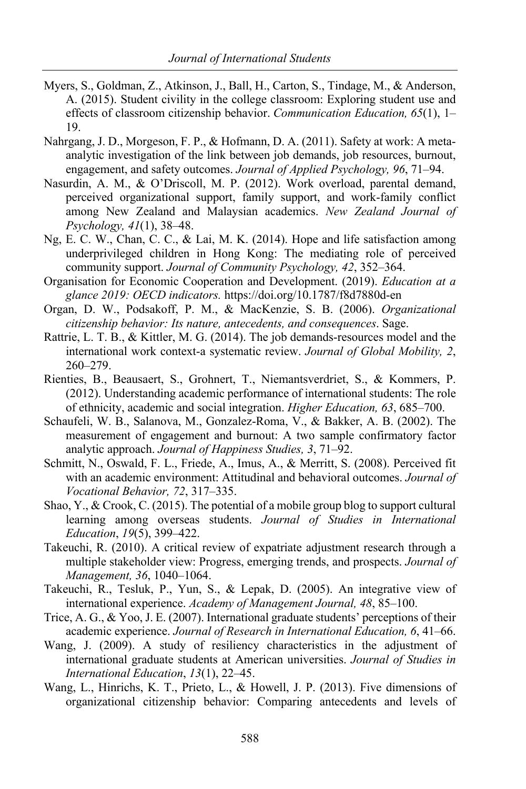- Myers, S., Goldman, Z., Atkinson, J., Ball, H., Carton, S., Tindage, M., & Anderson, A. (2015). Student civility in the college classroom: Exploring student use and effects of classroom citizenship behavior. *Communication Education, 65*(1), 1– 19.
- Nahrgang, J. D., Morgeson, F. P., & Hofmann, D. A. (2011). Safety at work: A metaanalytic investigation of the link between job demands, job resources, burnout, engagement, and safety outcomes. *Journal of Applied Psychology, 96*, 71–94.
- Nasurdin, A. M., & O'Driscoll, M. P. (2012). Work overload, parental demand, perceived organizational support, family support, and work-family conflict among New Zealand and Malaysian academics. *New Zealand Journal of Psychology, 41*(1), 38–48.
- Ng, E. C. W., Chan, C. C., & Lai, M. K. (2014). Hope and life satisfaction among underprivileged children in Hong Kong: The mediating role of perceived community support. *Journal of Community Psychology, 42*, 352–364.
- Organisation for Economic Cooperation and Development. (2019). *Education at a glance 2019: OECD indicators.* https://doi.org/10.1787/f8d7880d-en
- Organ, D. W., Podsakoff, P. M., & MacKenzie, S. B. (2006). *Organizational citizenship behavior: Its nature, antecedents, and consequences*. Sage.
- Rattrie, L. T. B., & Kittler, M. G. (2014). The job demands-resources model and the international work context-a systematic review. *Journal of Global Mobility, 2*, 260–279.
- Rienties, B., Beausaert, S., Grohnert, T., Niemantsverdriet, S., & Kommers, P. (2012). Understanding academic performance of international students: The role of ethnicity, academic and social integration. *Higher Education, 63*, 685–700.
- Schaufeli, W. B., Salanova, M., Gonzalez-Roma, V., & Bakker, A. B. (2002). The measurement of engagement and burnout: A two sample confirmatory factor analytic approach. *Journal of Happiness Studies, 3*, 71–92.
- Schmitt, N., Oswald, F. L., Friede, A., Imus, A., & Merritt, S. (2008). Perceived fit with an academic environment: Attitudinal and behavioral outcomes. *Journal of Vocational Behavior, 72*, 317–335.
- Shao, Y., & Crook, C. (2015). The potential of a mobile group blog to support cultural learning among overseas students. *Journal of Studies in International Education*, *19*(5), 399–422.
- Takeuchi, R. (2010). A critical review of expatriate adjustment research through a multiple stakeholder view: Progress, emerging trends, and prospects. *Journal of Management, 36*, 1040–1064.
- Takeuchi, R., Tesluk, P., Yun, S., & Lepak, D. (2005). An integrative view of international experience. *Academy of Management Journal, 48*, 85–100.
- Trice, A. G., & Yoo, J. E. (2007). International graduate students' perceptions of their academic experience. *Journal of Research in International Education, 6*, 41–66.
- Wang, J. (2009). A study of resiliency characteristics in the adjustment of international graduate students at American universities. *Journal of Studies in International Education*, *13*(1), 22–45.
- Wang, L., Hinrichs, K. T., Prieto, L., & Howell, J. P. (2013). Five dimensions of organizational citizenship behavior: Comparing antecedents and levels of